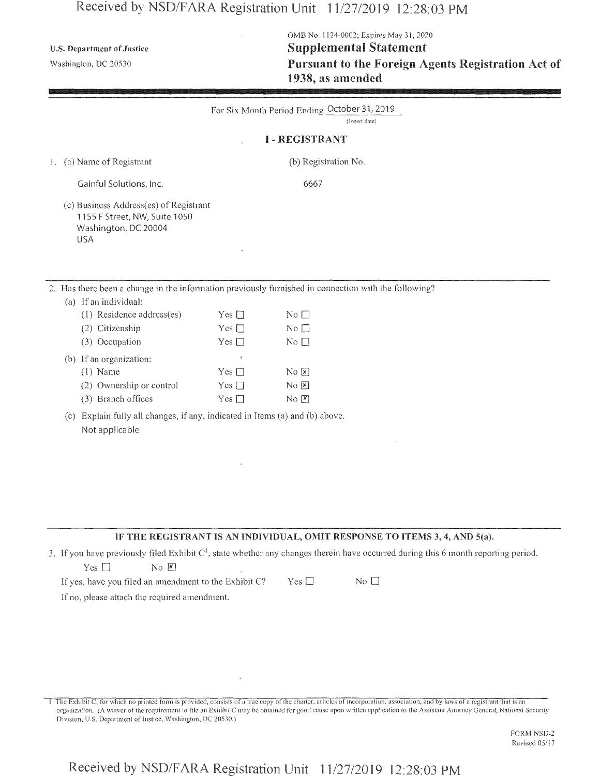# Received by NSD/FARA Registration Unit 11/27/2019 12:28:03 PM

**U.S. Department** of **Justice**

Washington, DC 20530

 $\overline{2}$ .

OMB No. 1124-0002; Expires May 31,2020 Supplemental Statement Pursuant to the Foreign Agents Registration Act of 1938, as amended

| For Six Month Period Ending October 31, 2019<br>(Insert date)                                                                 |                                |                                       |  |  |  |
|-------------------------------------------------------------------------------------------------------------------------------|--------------------------------|---------------------------------------|--|--|--|
|                                                                                                                               |                                | <b>I-REGISTRANT</b>                   |  |  |  |
| 1. (a) Name of Registrant                                                                                                     |                                | (b) Registration No.                  |  |  |  |
| Gainful Solutions, Inc.                                                                                                       |                                | 6667                                  |  |  |  |
| (c) Business Address(es) of Registrant<br>1155 F Street, NW, Suite 1050<br>Washington, DC 20004<br><b>USA</b>                 |                                |                                       |  |  |  |
| 2. Has there been a change in the information previously furnished in connection with the following?<br>(a) If an individual: |                                |                                       |  |  |  |
| (1) Residence address(es)                                                                                                     | Yes $\square$                  | No <sub>1</sub>                       |  |  |  |
| (2) Citizenship<br>(3) Occupation                                                                                             | Yes $\square$<br>Yes $\square$ | $No$ $\square$<br>$No$ $\square$      |  |  |  |
|                                                                                                                               |                                |                                       |  |  |  |
| (b) If an organization:<br>$(1)$ Name                                                                                         | š,<br>Yes $\square$            | No E                                  |  |  |  |
| (2) Ownership or control                                                                                                      | Yes $\square$                  | $\overline{N}$ o $\boxed{\mathbf{x}}$ |  |  |  |
| (3) Branch offices                                                                                                            | Yes $\square$                  | $\overline{N}$ o $\boxed{\mathbf{x}}$ |  |  |  |
| Explain fully all changes, if any, indicated in Items (a) and (b) above.<br>(c)<br>Not applicable                             |                                |                                       |  |  |  |

#### IF THE REGISTRANT IS AN INDIVIDUAL, OMIT RESPONSE TO ITEMS 3, 4, AND 5(a).

3. If you have previously filed Exhibit  $C<sup>1</sup>$ , state whether any changes therein have occurred during this 6 month reporting period.  $Yes \Box$  No  $X$ If yes, have you filed an amendment to the Exhibit C? Yes  $\square$  No  $\square$ 

If no, please attach the required amendment.

<sup>1</sup> The Exhibit C, for which no printed form is provided, consists of a true copy ofthe charier, arlietes of incorporation, association, and by laws of a registrant that is an organization, (A waiver ofthe requirement to file an Exhibit C may be obtained for good cause upon written application to the Assistant Attorney General, National Security Division, U.S. Department of Justice, Washington, DC 20530.)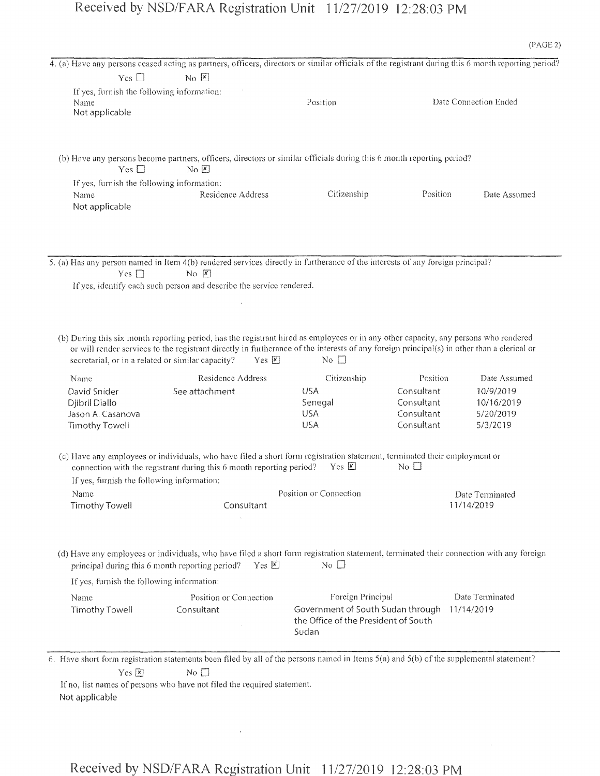## Received by NSD/FARA Registration Unit 11/27/2019 12:28:03 PM

|                                                                      | 4. (a) Have any persons ceased acting as partners, officers, directors or similar officials of the registrant during this 6 month reporting period?                                                                                                                                                                                                       |                               |                                        |                                      |
|----------------------------------------------------------------------|-----------------------------------------------------------------------------------------------------------------------------------------------------------------------------------------------------------------------------------------------------------------------------------------------------------------------------------------------------------|-------------------------------|----------------------------------------|--------------------------------------|
| Yes $\square$                                                        | No E                                                                                                                                                                                                                                                                                                                                                      |                               |                                        |                                      |
| If yes, furnish the following information:<br>Name<br>Not applicable |                                                                                                                                                                                                                                                                                                                                                           | Position                      |                                        | Date Connection Ended                |
| Yes $\square$                                                        | (b) Have any persons become partners, officers, directors or similar officials during this 6 month reporting period?<br>$\overline{N}$ $\overline{K}$                                                                                                                                                                                                     |                               |                                        |                                      |
| If yes, furnish the following information:<br>Name<br>Not applicable | Residence Address                                                                                                                                                                                                                                                                                                                                         | Citizenship                   | Position                               | Date Assumed                         |
| Yes $\square$                                                        | 5. (a) Has any person named in Item 4(b) rendered services directly in furtherance of the interests of any foreign principal?<br>$No \ \nvert \overline{x}$<br>If yes, identify each such person and describe the service rendered.                                                                                                                       |                               |                                        |                                      |
|                                                                      |                                                                                                                                                                                                                                                                                                                                                           |                               |                                        |                                      |
|                                                                      | (b) During this six month reporting period, has the registrant hired as employees or in any other capacity, any persons who rendered<br>or will render services to the registrant directly in furtherance of the interests of any foreign principal(s) in other than a clerical or<br>secretarial, or in a related or similar capacity?<br>$Yes \nvert x$ | $\mathbb{N}^{\circ}$          |                                        |                                      |
| Name                                                                 | Residence Address                                                                                                                                                                                                                                                                                                                                         | Citizenship                   | Position                               | Date Assumed                         |
| David Snider<br>Djibril Diallo<br>Jason A. Casanova                  | See attachment                                                                                                                                                                                                                                                                                                                                            | <b>USA</b><br>Senegal<br>USA. | Consultant<br>Consultant<br>Consultant | 10/9/2019<br>10/16/2019<br>5/20/2019 |
| <b>Timothy Towell</b>                                                |                                                                                                                                                                                                                                                                                                                                                           | <b>USA</b>                    | Consultant                             | 5/3/2019                             |
| If yes, furnish the following information:                           | (c) Have any employees or individuals, who have filed a short form registration statement, terminated their employment or<br>connection with the registrant during this 6 month reporting period?                                                                                                                                                         | Yes E                         | No <sub>1</sub>                        |                                      |
| Name<br><b>Timothy Towell</b>                                        | Consultant                                                                                                                                                                                                                                                                                                                                                | Position or Connection        |                                        | Date Terminated<br>11/14/2019        |
|                                                                      | (d) Have any employees or individuals, who have filed a short form registration statement, terminated their connection with any forcign<br>principal during this 6 month reporting period?<br>$Yes \n  \times$                                                                                                                                            | No $\square$                  |                                        |                                      |
| If yes, furnish the following information:                           |                                                                                                                                                                                                                                                                                                                                                           |                               |                                        |                                      |

 $Yes \triangleright$  No  $\square$ 

If no, list names of persons who have not filed the required statement. Not applicable

 $\bar{.}$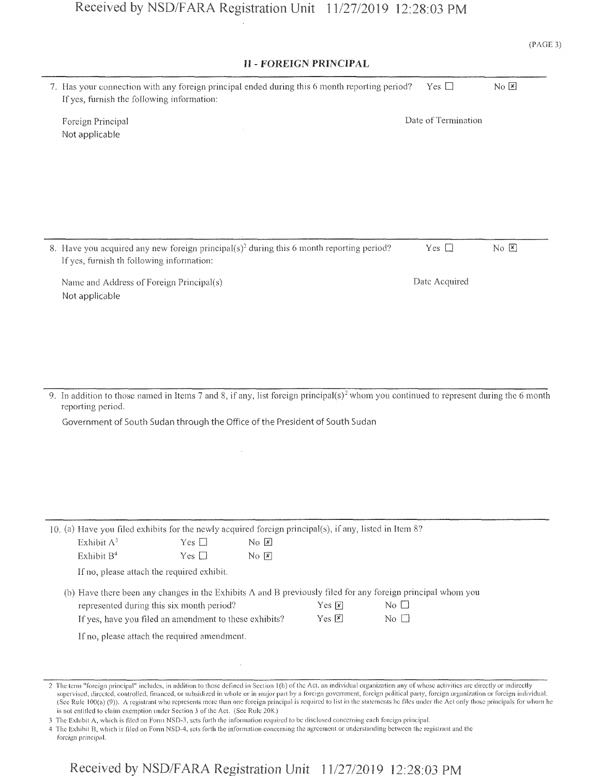| <b>II - FOREIGN PRINCIPAL</b>                                                                                                                                                                                                                                                                                      |                     |      |
|--------------------------------------------------------------------------------------------------------------------------------------------------------------------------------------------------------------------------------------------------------------------------------------------------------------------|---------------------|------|
| 7. Has your connection with any foreign principal ended during this 6 month reporting period?<br>If yes, furnish the following information:                                                                                                                                                                        | Yes $\square$       | No E |
| Foreign Principal<br>Not applicable                                                                                                                                                                                                                                                                                | Date of Termination |      |
|                                                                                                                                                                                                                                                                                                                    |                     |      |
|                                                                                                                                                                                                                                                                                                                    |                     |      |
|                                                                                                                                                                                                                                                                                                                    |                     |      |
| 8. Have you acquired any new foreign principal(s) <sup>2</sup> during this 6 month reporting period?<br>If yes, furnish th following information:                                                                                                                                                                  | Yes $\square$       | No E |
| Name and Address of Foreign Principal(s)<br>Not applicable                                                                                                                                                                                                                                                         | Date Acquired       |      |
|                                                                                                                                                                                                                                                                                                                    |                     |      |
|                                                                                                                                                                                                                                                                                                                    |                     |      |
| 9. In addition to those named in Items 7 and 8, if any, list foreign principal(s) <sup>2</sup> whom you continued to represent during the 6 month<br>reporting period.                                                                                                                                             |                     |      |
| Government of South Sudan through the Office of the President of South Sudan                                                                                                                                                                                                                                       |                     |      |
|                                                                                                                                                                                                                                                                                                                    |                     |      |
|                                                                                                                                                                                                                                                                                                                    |                     |      |
|                                                                                                                                                                                                                                                                                                                    |                     |      |
|                                                                                                                                                                                                                                                                                                                    |                     |      |
| 10. (a) Have you filed exhibits for the newly acquired foreign principal(s), if any, listed in Item 8?                                                                                                                                                                                                             |                     |      |
| Exhibit $A^3$<br>No E<br>Yes $\square$                                                                                                                                                                                                                                                                             |                     |      |
| Exhibit B <sup>4</sup><br>Yes $\square$<br>No E                                                                                                                                                                                                                                                                    |                     |      |
| If no, please attach the required exhibit.                                                                                                                                                                                                                                                                         |                     |      |
| (b) Have there been any changes in the Exhibits $\Lambda$ and B previously filed for any foreign principal whom you<br>represented during this six month period?<br>No $\square$<br>Yes $\boxed{\mathbf{x}}$<br>If yes, have you filed an amendment to these exhibits?<br>Yes $\boxed{\mathbf{x}}$<br>No $\square$ |                     |      |
| If no, please attach the required amendment.                                                                                                                                                                                                                                                                       |                     |      |
|                                                                                                                                                                                                                                                                                                                    |                     |      |
|                                                                                                                                                                                                                                                                                                                    |                     |      |

3 The Exhibit A, which is filed on Form NSD-3, sets forth the information required to be disclosed concerning each foreign principal.

4 The Exhibit B, which is filed on Form NSD-4, sets forth the information concerning tire agreement or understanding between the registrant and the

*foreign* principal.

<sup>2</sup> The term "foreign principal" includes, in addition to those defined in Section 1(b) of the Act, an individual organization any of whose activities are directly or indirectly supervised, directed, controlled, financed, or subsidized in whole or in major part by a foreign government, foreign political party, foreign organization or foreign individual. (Sec Rule 100(a) (9)). A registrant who represents more than one foreign principal is required to list in the statements he files under the Act only those principals for whom he is not entitled to claim exemption under Section 3 of the Act. (See Rule 208.)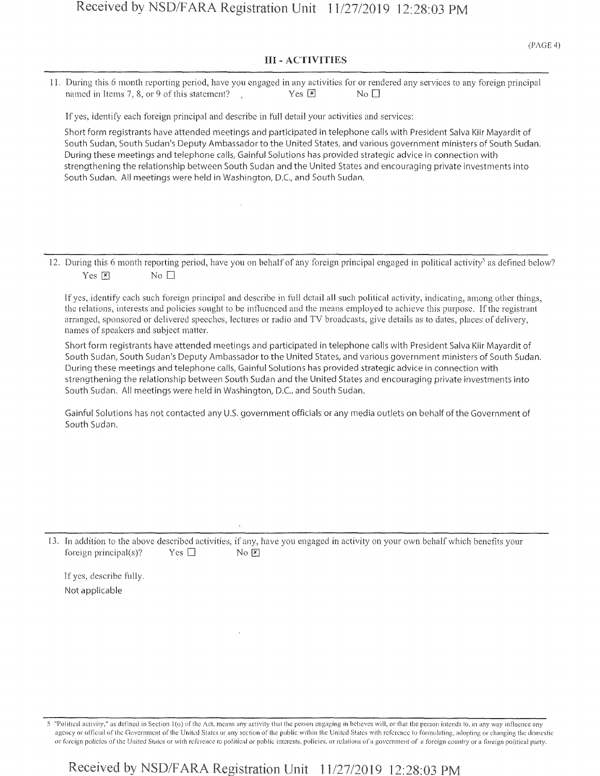#### III - ACTIVITIES

11. During this 6 month reporting period, have you engaged in any activities for or rendered any services to any foreign principal named in Items 7, 8, or 9 of this statement? Yes  $\boxed{\times}$  Yes  $\boxed{\times}$  No  $\boxed{\phantom{0}}$ 

If yes, identify each foreign principal and describe in full detail your activities and services:

**Short form registrants have attended meetings and participated in telephone calls with President Salva Kiir** Mayardit of **South Sudan, South Sudan's Deputy Ambassador to the United States, and** various **government ministers of** South **Sudan. During these** meetings and **telephone calls, Gainful Solutions has provided strategic advice in connection** with **strengthening the relationship between South Sudan and the United States** and encouraging **private investments into South Sudan. All meetings were held in Washington, D.C., and South Sudan.**

12. During this 6 month reporting period, have you on behalf of any foreign principal engaged in political activity<sup>5</sup> as defined below? Yes  $X$  No  $\Box$ 

If yes, identify each such foreign principal and describe in full detail all such political activity, indicating, among other things, the relations, interests and policies sought to be influenced and the means employed to achieve this purpose. Ifthe registrant arranged, sponsored or delivered speeches, lectures or radio and TV broadcasts, give details as to dates, places of delivery, names of speakers and subject matter.

**Short form registrants have attended meetings and participated in telephone calls with President Salva Kiir** Mayardit **of** South Sudan, South Sudan's Deputy Ambassador to the United States, and various government ministers of South Sudan. **During these meetings and telephone calls, Gainful Solutions** has **provided strategic advice in connection with strengthening the relationship between South Sudan and the United** States and **encouraging private investments into South Sudan. All meetings were held in Washington,** D.C., **and South Sudan.**

Gainful Solutions has not contacted any U.S. government officials or any media outlets on behalf of the Government of **South Sudan.**

13. In addition to the above described activities, if any, have you engaged in activity on your own behalf which benefits your foreign principal(s)? Yes  $\Box$  No  $\boxtimes$ 

If yes, describe fully, **Not** applicable

5 ''Political activity," as defined in Section <sup>1</sup> (u) of the Act, means any activity that the person engaging in believes will, or that the person intends to, in any way influence any agency or official of the Government of the United States or any section of the public within the United States with reference to formulating, adopting or changing the domestic or foreign policies of the United States or with reference to political or public interests, policies, or relations ofa government of a foreign country or a foreign political party.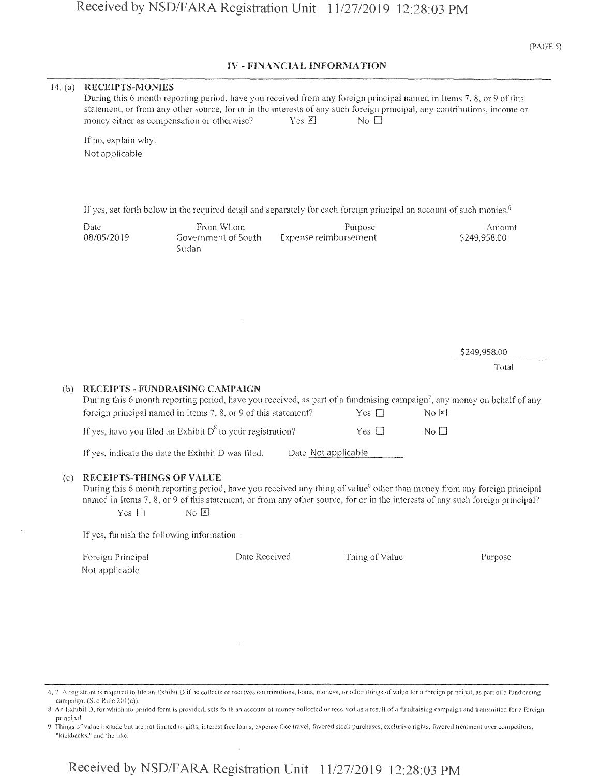(PAGE 5)

#### IV - FINANCIAL INFORMATION

| 14. (a) | <b>RECEIPTS-MONIES</b>                           | During this 6 month reporting period, have you received from any foreign principal named in Items 7, 8, or 9 of this<br>statement, or from any other source, for or in the interests of any such foreign principal, any contributions, income or<br>money either as compensation or otherwise?     | $Yes \n  \triangleright$ | No $\square$   |                |                        |
|---------|--------------------------------------------------|----------------------------------------------------------------------------------------------------------------------------------------------------------------------------------------------------------------------------------------------------------------------------------------------------|--------------------------|----------------|----------------|------------------------|
|         | If no, explain why.<br>Not applicable            |                                                                                                                                                                                                                                                                                                    |                          |                |                |                        |
|         |                                                  | If yes, set forth below in the required detail and separately for each foreign principal an account of such monies. <sup>6</sup>                                                                                                                                                                   |                          |                |                |                        |
|         | Date<br>08/05/2019                               | From Whom<br>Government of South<br>Sudan                                                                                                                                                                                                                                                          | Expense reimbursement    | Purpose        |                | Amount<br>\$249,958.00 |
|         |                                                  |                                                                                                                                                                                                                                                                                                    |                          |                |                |                        |
|         |                                                  |                                                                                                                                                                                                                                                                                                    |                          |                |                |                        |
|         |                                                  |                                                                                                                                                                                                                                                                                                    |                          |                |                | \$249,958.00           |
|         |                                                  |                                                                                                                                                                                                                                                                                                    |                          |                |                | Total                  |
| (b)     |                                                  | RECEIPTS - FUNDRAISING CAMPAIGN<br>During this 6 month reporting period, have you received, as part of a fundraising campaign <sup>7</sup> , any money on behalf of any<br>foreign principal named in Items 7, 8, or 9 of this statement?                                                          |                          | Yes $\Box$     | No E           |                        |
|         |                                                  | If yes, have you filed an Exhibit $D^8$ to your registration?                                                                                                                                                                                                                                      |                          | Yes $\Box$     | $No$ $\square$ |                        |
|         |                                                  | If yes, indicate the date the Exhibit D was filed.                                                                                                                                                                                                                                                 | Date Not applicable      |                |                |                        |
| (c)     | <b>RECEIPTS-THINGS OF VALUE</b><br>Yes $\square$ | During this 6 month reporting period, have you received any thing of value <sup>9</sup> other than money from any foreign principal<br>named in Items 7, 8, or 9 of this statement, or from any other source, for or in the interests of any such foreign principal?<br>$N_0$ $\boxed{\mathbf{x}}$ |                          |                |                |                        |
|         | If yes, furnish the following information:       |                                                                                                                                                                                                                                                                                                    |                          |                |                |                        |
|         | Foreign Principal<br>Not applicable              | Date Received                                                                                                                                                                                                                                                                                      |                          | Thing of Value |                | Purpose                |
|         |                                                  |                                                                                                                                                                                                                                                                                                    |                          |                |                |                        |

<sup>6,</sup> 7 A registrant is required to file an Exhibit D if lie collects or receives contributions, loans, moneys, or other things of value for a foreign principal, as part of a fundraising campaign. (Sec Rule 201(e)).

<sup>8</sup> An Exhibit D, for which no printed form is provided, sets forth an account of money collected or received as a result of a fundraising campaign and transmitted for a foreign principal.

<sup>9</sup> Things of value include but are not limited to gifts, interest free loans, expense free travel, favored stock purchases, exclusive rights, favored treatment over competitors, "kickbacks," and the like.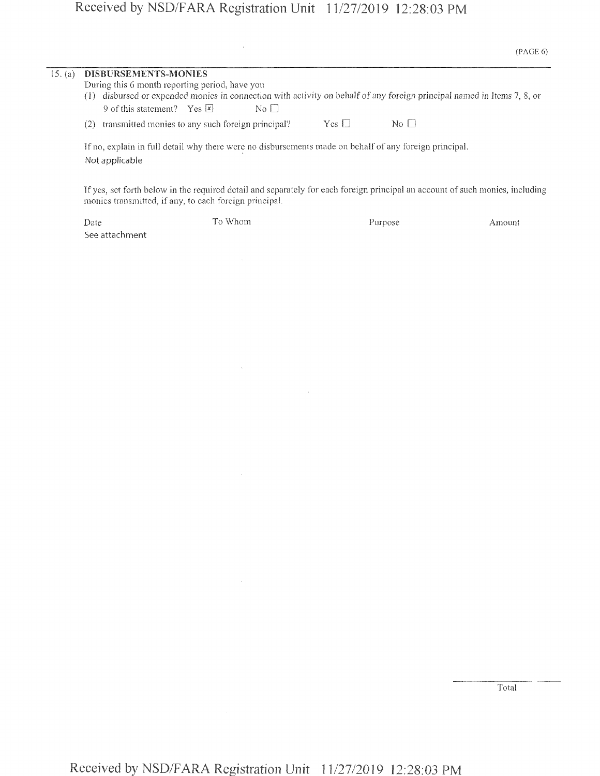# Received by NSD/FARA Registration Unit 11/27/2019 12:28:03 PM

 $\sim 10^{11}$  km s  $^{-1}$ 

 $\mathcal{L}^{\text{max}}_{\text{max}}$ 

 $\label{eq:1} \mathbf{V} = \mathbf{V} \mathbf{V} + \mathbf{V} \mathbf{V} + \mathbf{V} \mathbf{V} + \mathbf{V} \mathbf{V}$ 

|         |                                                                                                                                                                                                                                                                                                |            | (PAGE 6)     |  |  |
|---------|------------------------------------------------------------------------------------------------------------------------------------------------------------------------------------------------------------------------------------------------------------------------------------------------|------------|--------------|--|--|
| 15. (a) | <b>DISBURSEMENTS-MONIES</b><br>During this 6 month reporting period, have you<br>disbursed or expended monies in connection with activity on behalf of any foreign principal named in Items 7, 8, or<br>(1)<br>9 of this statement? Yes $\overline{x}$<br>$\overline{N_{0}}$ $\overline{\Box}$ |            |              |  |  |
|         | transmitted monies to any such foreign principal?<br>(2)                                                                                                                                                                                                                                       | $Yes \Box$ | $N_O$ $\Box$ |  |  |
|         | If no, explain in full detail why there were no disbursements made on behalf of any foreign principal.<br>Not applicable                                                                                                                                                                       |            |              |  |  |
|         | If yes, set forth below in the required detail and separately for each foreign principal an account of such monics, including<br>monies transmitted, if any, to each foreign principal.                                                                                                        |            |              |  |  |

| Date           | To Whom | <b>Purpose</b> | Amount |
|----------------|---------|----------------|--------|
| See attachment |         |                |        |

Total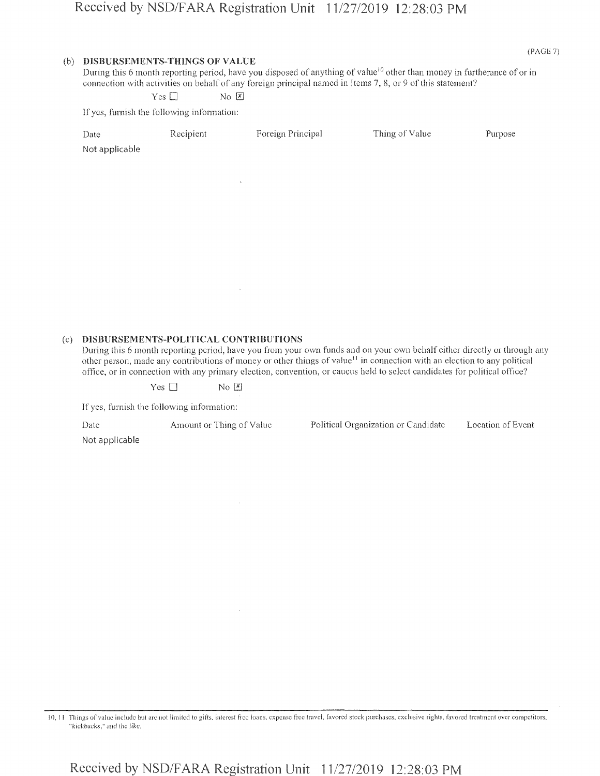#### (b) DISBURSEMENTS-THINGS OF VALUE

(PAGE 7)

During this 6 month reporting period, have you disposed of anything of value<sup>10</sup> other than money in furtherance of or in connection with activities on behalf of any foreign principal named in Items 7, 8, or 9 of this statement?

 $Yes \Box$  No  $X$ 

If yes, furnish the following information:

| Date<br>Not applicable | Recipient      | Foreign Principal | Thing of Value | Purpose |
|------------------------|----------------|-------------------|----------------|---------|
|                        | $\mathbf{r}_i$ |                   |                |         |
|                        |                |                   |                |         |
|                        |                |                   |                |         |
|                        | $\sim$         |                   |                |         |

#### (c) **DISBURSEMENTS-POLITICAL** CONTRIBUTIONS

During this 6 month reporting period, have you from your own funds and on your own behalf either directly or through any other person, made any contributions of money or other things of value<sup>11</sup> in connection with an election to any political office, or in connection with any primary election, convention, or caucus held to select candidates for political office?

 $Yes \Box$  No  $\Sigma$ 

If yes, furnish the following information:

Date Amount or Thing of Value Political Organization or Candidate Location of Event

Not **applicable**

10, <sup>1</sup> ! Things of value include but are not limited to gifts, interest free loans, expense free travel, favored stock purchases, exclusive rights, favored treatment over competitors, "kickbacks," and the like.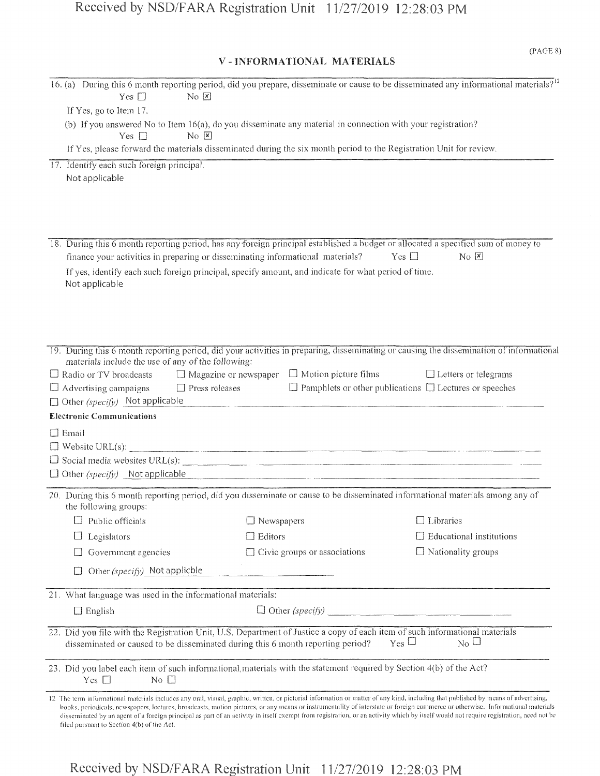| Yes $\square$<br>$\overline{N}$ $\overline{K}$                                 | 16. (a) During this 6 month reporting period, did you prepare, disseminate or cause to be disseminated any informational materials? <sup>12</sup>                                                                                                                                                                                                                                                                                                                                                                                                             |                                                                    |
|--------------------------------------------------------------------------------|---------------------------------------------------------------------------------------------------------------------------------------------------------------------------------------------------------------------------------------------------------------------------------------------------------------------------------------------------------------------------------------------------------------------------------------------------------------------------------------------------------------------------------------------------------------|--------------------------------------------------------------------|
| If Yes, go to Item 17.                                                         |                                                                                                                                                                                                                                                                                                                                                                                                                                                                                                                                                               |                                                                    |
| $No \times$<br>Yes $\Box$                                                      | (b) If you answered No to Item 16(a), do you disseminate any material in connection with your registration?                                                                                                                                                                                                                                                                                                                                                                                                                                                   |                                                                    |
|                                                                                | If Yes, please forward the materials disseminated during the six month period to the Registration Unit for review.                                                                                                                                                                                                                                                                                                                                                                                                                                            |                                                                    |
| 17. Identify each such foreign principal.                                      |                                                                                                                                                                                                                                                                                                                                                                                                                                                                                                                                                               |                                                                    |
| Not applicable                                                                 |                                                                                                                                                                                                                                                                                                                                                                                                                                                                                                                                                               |                                                                    |
|                                                                                |                                                                                                                                                                                                                                                                                                                                                                                                                                                                                                                                                               |                                                                    |
|                                                                                |                                                                                                                                                                                                                                                                                                                                                                                                                                                                                                                                                               |                                                                    |
|                                                                                |                                                                                                                                                                                                                                                                                                                                                                                                                                                                                                                                                               |                                                                    |
|                                                                                | 18. During this 6 month reporting period, has any foreign principal established a budget or allocated a specified sum of money to                                                                                                                                                                                                                                                                                                                                                                                                                             |                                                                    |
| finance your activities in preparing or disseminating informational materials? |                                                                                                                                                                                                                                                                                                                                                                                                                                                                                                                                                               | $Yes \Box$<br>$\overline{N}$ $\overline{X}$                        |
|                                                                                | If yes, identify each such foreign principal, specify amount, and indicate for what period of time.                                                                                                                                                                                                                                                                                                                                                                                                                                                           |                                                                    |
| Not applicable                                                                 |                                                                                                                                                                                                                                                                                                                                                                                                                                                                                                                                                               |                                                                    |
|                                                                                |                                                                                                                                                                                                                                                                                                                                                                                                                                                                                                                                                               |                                                                    |
|                                                                                |                                                                                                                                                                                                                                                                                                                                                                                                                                                                                                                                                               |                                                                    |
|                                                                                |                                                                                                                                                                                                                                                                                                                                                                                                                                                                                                                                                               |                                                                    |
|                                                                                | 19. During this 6 month reporting period, did your activities in preparing, disseminating or causing the dissemination of informational                                                                                                                                                                                                                                                                                                                                                                                                                       |                                                                    |
| materials include the use of any of the following:                             |                                                                                                                                                                                                                                                                                                                                                                                                                                                                                                                                                               |                                                                    |
| $\Box$ Radio or TV broadcasts                                                  | $\Box$ Magazine or newspaper $\Box$ Motion picture films                                                                                                                                                                                                                                                                                                                                                                                                                                                                                                      | $\Box$ Letters or telegrams                                        |
| $\Box$ Advertising campaigns                                                   | $\Box$ Press releases                                                                                                                                                                                                                                                                                                                                                                                                                                                                                                                                         | $\Box$ Pamphlets or other publications $\Box$ Lectures or speeches |
| $\Box$ Other (specify) Not applicable                                          |                                                                                                                                                                                                                                                                                                                                                                                                                                                                                                                                                               |                                                                    |
| <b>Electronic Communications</b>                                               |                                                                                                                                                                                                                                                                                                                                                                                                                                                                                                                                                               |                                                                    |
| $\Box$ Email                                                                   |                                                                                                                                                                                                                                                                                                                                                                                                                                                                                                                                                               |                                                                    |
|                                                                                | $\Box \text{ Website URL(s): } \qquad \qquad \Box$                                                                                                                                                                                                                                                                                                                                                                                                                                                                                                            |                                                                    |
|                                                                                | $\Box$ Social media websites URL(s): $\Box$                                                                                                                                                                                                                                                                                                                                                                                                                                                                                                                   |                                                                    |
|                                                                                | $\Box$ Other (specify) Not applicable                                                                                                                                                                                                                                                                                                                                                                                                                                                                                                                         |                                                                    |
| the following groups:                                                          | 20. During this 6 month reporting period, did you disseminate or cause to be disseminated informational materials among any of                                                                                                                                                                                                                                                                                                                                                                                                                                |                                                                    |
| Public officials                                                               | $\Box$ Newspapers                                                                                                                                                                                                                                                                                                                                                                                                                                                                                                                                             | $\Box$ Libraries                                                   |
| Legislators                                                                    | $\Box$ Editors                                                                                                                                                                                                                                                                                                                                                                                                                                                                                                                                                | <b>Educational</b> institutions                                    |
| Government agencies                                                            | Civic groups or associations                                                                                                                                                                                                                                                                                                                                                                                                                                                                                                                                  | $\Box$ Nationality groups                                          |
| Other (specify) Not applicble                                                  |                                                                                                                                                                                                                                                                                                                                                                                                                                                                                                                                                               |                                                                    |
| 21. What language was used in the informational materials:                     |                                                                                                                                                                                                                                                                                                                                                                                                                                                                                                                                                               |                                                                    |
| $\Box$ English                                                                 | $\Box$ Other (specify)                                                                                                                                                                                                                                                                                                                                                                                                                                                                                                                                        |                                                                    |
|                                                                                |                                                                                                                                                                                                                                                                                                                                                                                                                                                                                                                                                               |                                                                    |
|                                                                                | 22. Did you file with the Registration Unit, U.S. Department of Justice a copy of each item of such informational materials<br>disseminated or caused to be disseminated during this 6 month reporting period?                                                                                                                                                                                                                                                                                                                                                | $_{\rm Yes}$ $\Box$<br>$_{\rm No}$ $\Box$                          |
| No $\square$<br>Yes $\square$                                                  | 23. Did you label each item of such informational materials with the statement required by Section 4(b) of the Act?                                                                                                                                                                                                                                                                                                                                                                                                                                           |                                                                    |
| filed pursuant to Section 4(b) of the Act.                                     | 12 The term informational materials includes any oral, visual, graphic, written, or pictorial information or matter of any kind, including that published by means of advertising,<br>books, periodicals, newspapers, lectures, broadcasts, motion pictures, or any means or instrumentality of interstate or foreign commerce or otherwise. Informational materials<br>disseminated by an agent of a foreign principal as part of an activity in itself exempt from registration, or an activity which by itself would not require registration, need not be |                                                                    |

 $\overline{a}$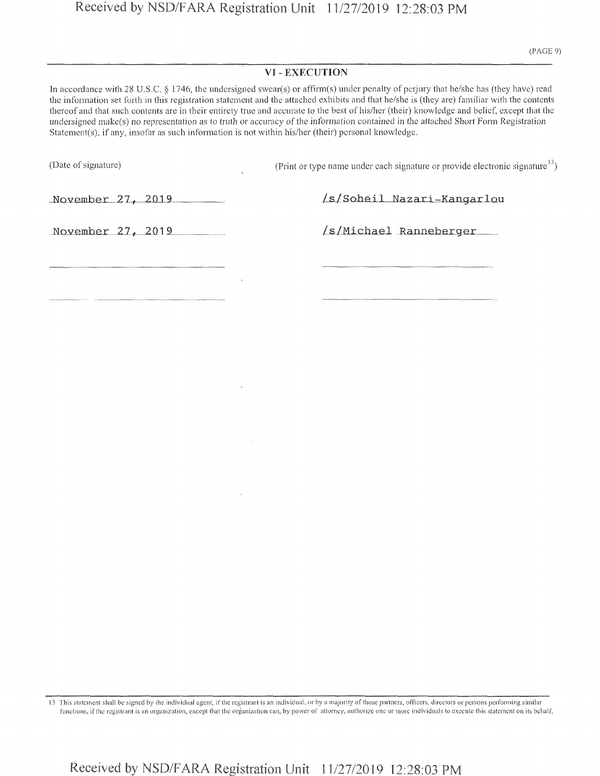#### VI - EXECUTION

In accordance with 28 U.S.C. § 1746, the undersigned swear(s) or affirm(s) under penalty of perjury that he/she has (they have) read the information set forth in this registration statement and the attached exhibits and that he/she is (they are) familiar with the contents thereof and that such contents are in their entirety true and accurate to the best of his/her (their) knowledge and belief, except that the undersigned make(s) no representation as to truth or accuracy of the information contained in the attached Short Form Registration Statement(s), if any, insofar as such information is not within his/her (their) personal knowledge.

(Date of signature)

(Print or type name under each signature or provide electronic signature $13$ )

27, 2019

/s/Soheil Nazari-Kangarlou

November 27, 2019

/s/Michael Ranneberger

<sup>13</sup> This statement shall be signed by the individual agent, ifthe registrant is an individual, or by a majority of those partners, officers, directors or persons performing similar functions, if the registrant is an organization, except that the organization can, by power of attorney, authorize one or more individuals to execute this statement on its behalf.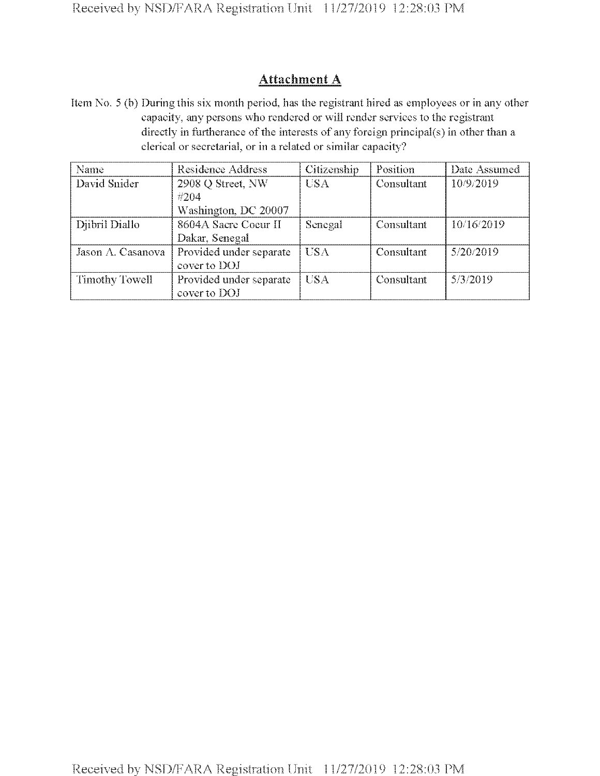### Attachment A

Item No. 5 (h) During this six month period, has the registrant hired as employees or in any other capacity, any persons who rendered or will render services to the registrant directly in furtherance of the interests of any foreign principal(s) in other than a clerical or secretarial, or in a related or similar capacity?

| Name              | Residence Address                                 | Citizenship | Position   | Date Assumed |
|-------------------|---------------------------------------------------|-------------|------------|--------------|
| David Snider      | 2908 Q Street, NW<br>#204<br>Washington, DC 20007 | <b>USA</b>  | Consultant | 10/9/2019    |
| Djibril Diallo    | 8604A Sacre Coeur II<br>Dakar, Senegal            | Senegal     | Consultant | 10/16/2019   |
| Jason A. Casanova | Provided under separate<br>cover to DOJ           | <b>USA</b>  | Consultant | 5/20/2019    |
| Timothy Towell    | Provided under separate<br>cover to DOJ           | USA         | Consultant | 5/3/2019     |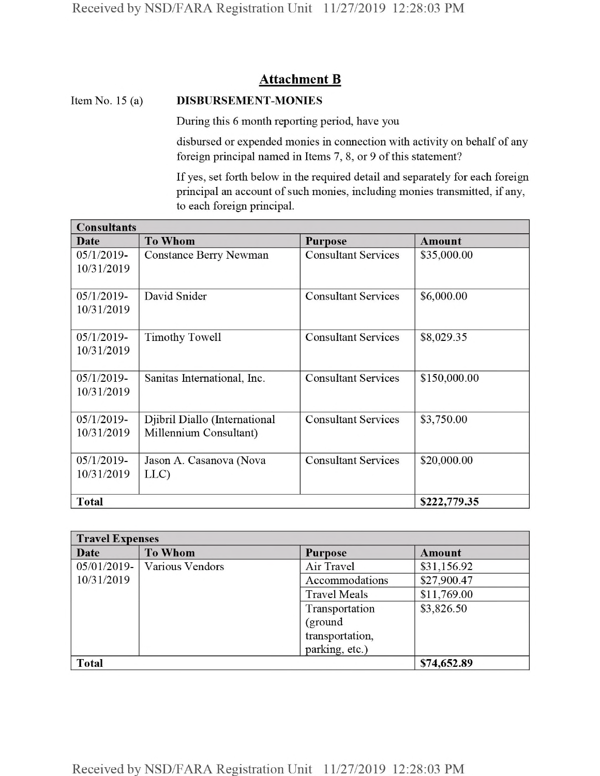### **Attachment B**

#### Item No. 15 (a) DISBURSEMENT-MONIES

During this 6 month reporting period, have you

disbursed or expended monies in connection with activity on behalf of any foreign principal named in Items 7, 8, or 9 of this statement?

If yes, set forth below in the required detail and separately for each foreign principal an account of such monies, including monies transmitted, if any, to each foreign principal.

| <b>Consultants</b> |                               |                            |               |  |  |
|--------------------|-------------------------------|----------------------------|---------------|--|--|
| Date               | <b>To Whom</b>                | <b>Purpose</b>             | <b>Amount</b> |  |  |
| $05/1/2019$ -      | <b>Constance Berry Newman</b> | <b>Consultant Services</b> | \$35,000.00   |  |  |
| 10/31/2019         |                               |                            |               |  |  |
|                    |                               |                            |               |  |  |
| $05/1/2019$ -      | David Snider                  | <b>Consultant Services</b> | \$6,000.00    |  |  |
| 10/31/2019         |                               |                            |               |  |  |
|                    |                               |                            |               |  |  |
| $05/1/2019$ -      | <b>Timothy Towell</b>         | <b>Consultant Services</b> | \$8,029.35    |  |  |
| 10/31/2019         |                               |                            |               |  |  |
|                    |                               |                            |               |  |  |
| $05/1/2019$ -      | Sanitas International, Inc.   | <b>Consultant Services</b> | \$150,000.00  |  |  |
| 10/31/2019         |                               |                            |               |  |  |
|                    |                               |                            |               |  |  |
| $05/1/2019$ -      | Djibril Diallo (International | <b>Consultant Services</b> | \$3,750.00    |  |  |
| 10/31/2019         | Millennium Consultant)        |                            |               |  |  |
|                    |                               |                            |               |  |  |
| $05/1/2019$ -      | Jason A. Casanova (Nova       | <b>Consultant Services</b> | \$20,000.00   |  |  |
| 10/31/2019         | LLC)                          |                            |               |  |  |
|                    |                               |                            |               |  |  |
| <b>Total</b>       |                               |                            | \$222,779.35  |  |  |

| <b>Travel Expenses</b> |                 |                     |               |  |  |
|------------------------|-----------------|---------------------|---------------|--|--|
| Date                   | <b>To Whom</b>  | <b>Purpose</b>      | <b>Amount</b> |  |  |
| $05/01/2019$ -         | Various Vendors | Air Travel          | \$31,156.92   |  |  |
| 10/31/2019             |                 | Accommodations      | \$27,900.47   |  |  |
|                        |                 | <b>Travel Meals</b> | \$11,769.00   |  |  |
|                        |                 | Transportation      | \$3,826.50    |  |  |
|                        |                 | (ground             |               |  |  |
|                        |                 | transportation,     |               |  |  |
|                        |                 | parking, etc.)      |               |  |  |
| <b>Total</b>           |                 |                     | \$74,652.89   |  |  |